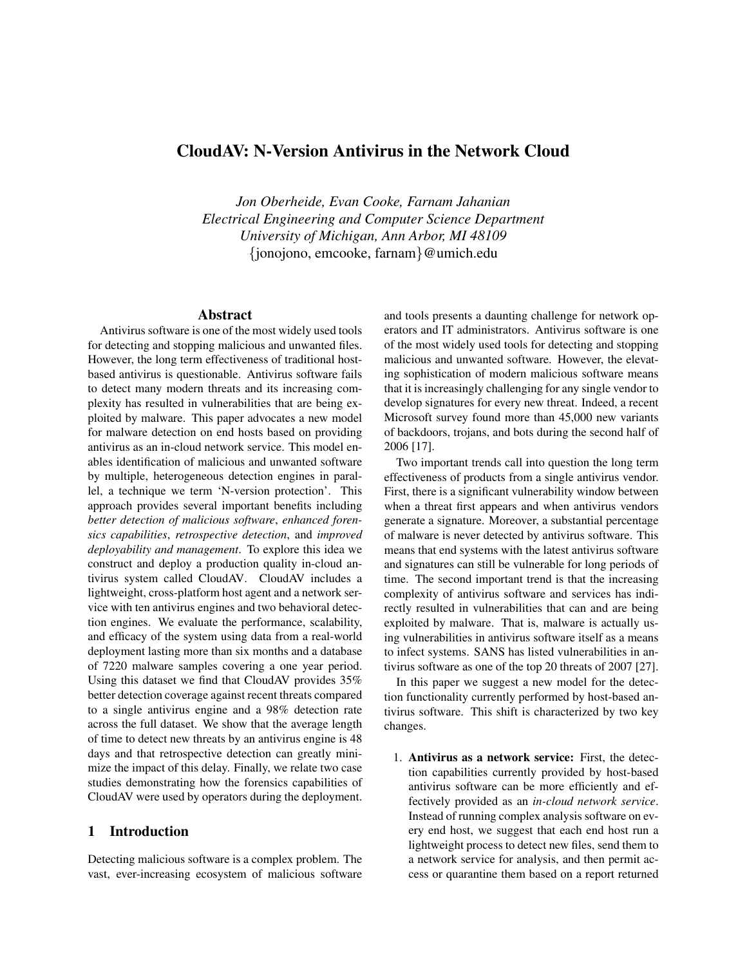# CloudAV: N-Version Antivirus in the Network Cloud

*Jon Oberheide, Evan Cooke, Farnam Jahanian Electrical Engineering and Computer Science Department University of Michigan, Ann Arbor, MI 48109* {jonojono, emcooke, farnam}@umich.edu

# Abstract

Antivirus software is one of the most widely used tools for detecting and stopping malicious and unwanted files. However, the long term effectiveness of traditional hostbased antivirus is questionable. Antivirus software fails to detect many modern threats and its increasing complexity has resulted in vulnerabilities that are being exploited by malware. This paper advocates a new model for malware detection on end hosts based on providing antivirus as an in-cloud network service. This model enables identification of malicious and unwanted software by multiple, heterogeneous detection engines in parallel, a technique we term 'N-version protection'. This approach provides several important benefits including *better detection of malicious software*, *enhanced forensics capabilities*, *retrospective detection*, and *improved deployability and management*. To explore this idea we construct and deploy a production quality in-cloud antivirus system called CloudAV. CloudAV includes a lightweight, cross-platform host agent and a network service with ten antivirus engines and two behavioral detection engines. We evaluate the performance, scalability, and efficacy of the system using data from a real-world deployment lasting more than six months and a database of 7220 malware samples covering a one year period. Using this dataset we find that CloudAV provides 35% better detection coverage against recent threats compared to a single antivirus engine and a 98% detection rate across the full dataset. We show that the average length of time to detect new threats by an antivirus engine is 48 days and that retrospective detection can greatly minimize the impact of this delay. Finally, we relate two case studies demonstrating how the forensics capabilities of CloudAV were used by operators during the deployment.

# 1 Introduction

Detecting malicious software is a complex problem. The vast, ever-increasing ecosystem of malicious software and tools presents a daunting challenge for network operators and IT administrators. Antivirus software is one of the most widely used tools for detecting and stopping malicious and unwanted software. However, the elevating sophistication of modern malicious software means that it is increasingly challenging for any single vendor to develop signatures for every new threat. Indeed, a recent Microsoft survey found more than 45,000 new variants of backdoors, trojans, and bots during the second half of 2006 [17].

Two important trends call into question the long term effectiveness of products from a single antivirus vendor. First, there is a significant vulnerability window between when a threat first appears and when antivirus vendors generate a signature. Moreover, a substantial percentage of malware is never detected by antivirus software. This means that end systems with the latest antivirus software and signatures can still be vulnerable for long periods of time. The second important trend is that the increasing complexity of antivirus software and services has indirectly resulted in vulnerabilities that can and are being exploited by malware. That is, malware is actually using vulnerabilities in antivirus software itself as a means to infect systems. SANS has listed vulnerabilities in antivirus software as one of the top 20 threats of 2007 [27].

In this paper we suggest a new model for the detection functionality currently performed by host-based antivirus software. This shift is characterized by two key changes.

1. Antivirus as a network service: First, the detection capabilities currently provided by host-based antivirus software can be more efficiently and effectively provided as an *in-cloud network service*. Instead of running complex analysis software on every end host, we suggest that each end host run a lightweight process to detect new files, send them to a network service for analysis, and then permit access or quarantine them based on a report returned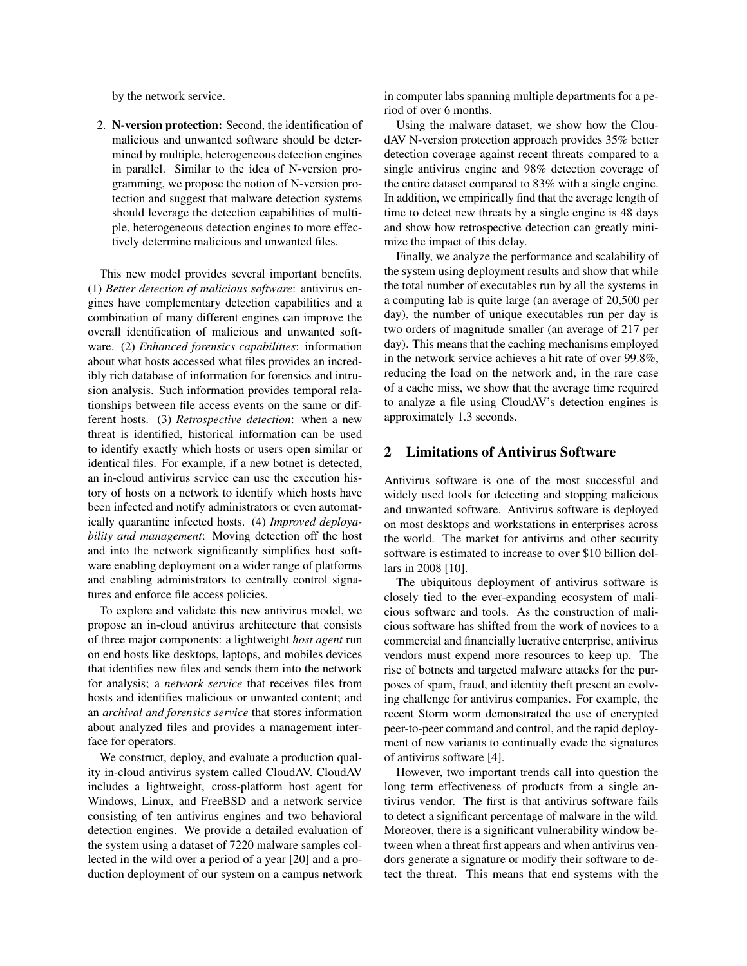by the network service.

2. N-version protection: Second, the identification of malicious and unwanted software should be determined by multiple, heterogeneous detection engines in parallel. Similar to the idea of N-version programming, we propose the notion of N-version protection and suggest that malware detection systems should leverage the detection capabilities of multiple, heterogeneous detection engines to more effectively determine malicious and unwanted files.

This new model provides several important benefits. (1) *Better detection of malicious software*: antivirus engines have complementary detection capabilities and a combination of many different engines can improve the overall identification of malicious and unwanted software. (2) *Enhanced forensics capabilities*: information about what hosts accessed what files provides an incredibly rich database of information for forensics and intrusion analysis. Such information provides temporal relationships between file access events on the same or different hosts. (3) *Retrospective detection*: when a new threat is identified, historical information can be used to identify exactly which hosts or users open similar or identical files. For example, if a new botnet is detected, an in-cloud antivirus service can use the execution history of hosts on a network to identify which hosts have been infected and notify administrators or even automatically quarantine infected hosts. (4) *Improved deployability and management*: Moving detection off the host and into the network significantly simplifies host software enabling deployment on a wider range of platforms and enabling administrators to centrally control signatures and enforce file access policies.

To explore and validate this new antivirus model, we propose an in-cloud antivirus architecture that consists of three major components: a lightweight *host agent* run on end hosts like desktops, laptops, and mobiles devices that identifies new files and sends them into the network for analysis; a *network service* that receives files from hosts and identifies malicious or unwanted content; and an *archival and forensics service* that stores information about analyzed files and provides a management interface for operators.

We construct, deploy, and evaluate a production quality in-cloud antivirus system called CloudAV. CloudAV includes a lightweight, cross-platform host agent for Windows, Linux, and FreeBSD and a network service consisting of ten antivirus engines and two behavioral detection engines. We provide a detailed evaluation of the system using a dataset of 7220 malware samples collected in the wild over a period of a year [20] and a production deployment of our system on a campus network in computer labs spanning multiple departments for a period of over 6 months.

Using the malware dataset, we show how the CloudAV N-version protection approach provides 35% better detection coverage against recent threats compared to a single antivirus engine and 98% detection coverage of the entire dataset compared to 83% with a single engine. In addition, we empirically find that the average length of time to detect new threats by a single engine is 48 days and show how retrospective detection can greatly minimize the impact of this delay.

Finally, we analyze the performance and scalability of the system using deployment results and show that while the total number of executables run by all the systems in a computing lab is quite large (an average of 20,500 per day), the number of unique executables run per day is two orders of magnitude smaller (an average of 217 per day). This means that the caching mechanisms employed in the network service achieves a hit rate of over 99.8%, reducing the load on the network and, in the rare case of a cache miss, we show that the average time required to analyze a file using CloudAV's detection engines is approximately 1.3 seconds.

# 2 Limitations of Antivirus Software

Antivirus software is one of the most successful and widely used tools for detecting and stopping malicious and unwanted software. Antivirus software is deployed on most desktops and workstations in enterprises across the world. The market for antivirus and other security software is estimated to increase to over \$10 billion dollars in 2008 [10].

The ubiquitous deployment of antivirus software is closely tied to the ever-expanding ecosystem of malicious software and tools. As the construction of malicious software has shifted from the work of novices to a commercial and financially lucrative enterprise, antivirus vendors must expend more resources to keep up. The rise of botnets and targeted malware attacks for the purposes of spam, fraud, and identity theft present an evolving challenge for antivirus companies. For example, the recent Storm worm demonstrated the use of encrypted peer-to-peer command and control, and the rapid deployment of new variants to continually evade the signatures of antivirus software [4].

However, two important trends call into question the long term effectiveness of products from a single antivirus vendor. The first is that antivirus software fails to detect a significant percentage of malware in the wild. Moreover, there is a significant vulnerability window between when a threat first appears and when antivirus vendors generate a signature or modify their software to detect the threat. This means that end systems with the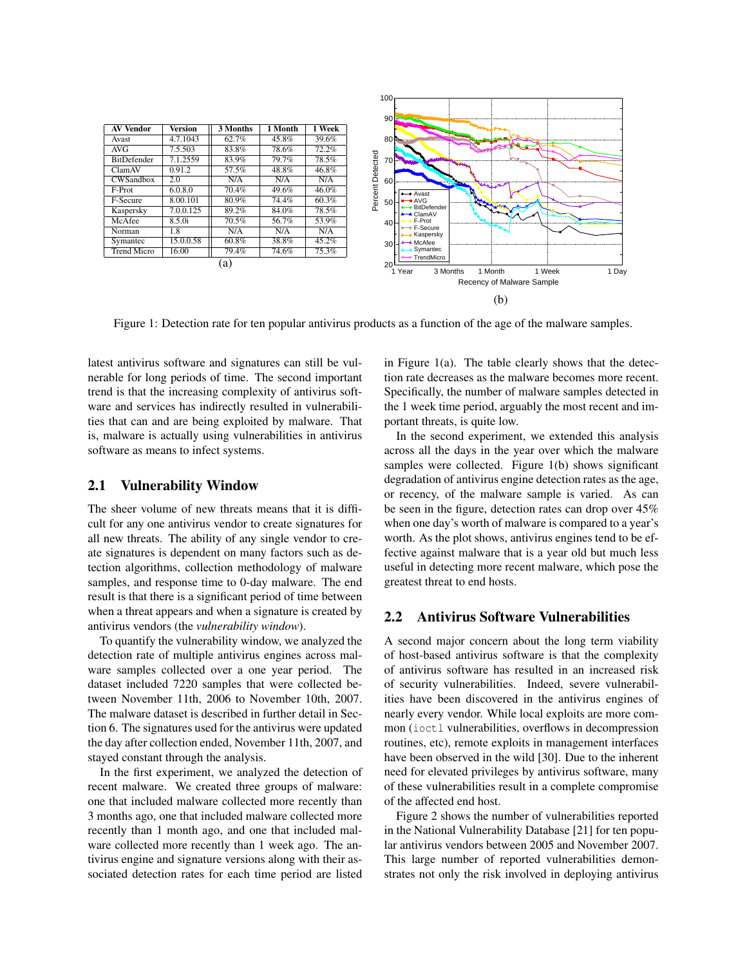| <b>AV Vendor</b>   | <b>Version</b>      | 3 Months | 1 Month | 1 Week |
|--------------------|---------------------|----------|---------|--------|
| Avast              | 4.7.1043            | 62.7%    | 45.8%   | 39.6%  |
| <b>AVG</b>         | 7.5.503             | 83.8%    | 78.6%   | 72.2%  |
| <b>BitDefender</b> | 7.1.2559            | 83.9%    | 79.7%   | 78.5%  |
| ClamAV             | $\overline{0.9}1.2$ | 57.5%    | 48.8%   | 46.8%  |
| CWSandbox          | 2.0                 | N/A      | N/A     | N/A    |
| F-Prot             | 6.0.8.0             | 70.4%    | 49.6%   | 46.0%  |
| F-Secure           | 8.00.101            | 80.9%    | 74.4%   | 60.3%  |
| Kaspersky          | 7.0.0.125           | 89.2%    | 84.0%   | 78.5%  |
| McAfee             | 8.5.0i              | 70.5%    | 56.7%   | 53.9%  |
| Norman             | 1.8                 | N/A      | N/A     | N/A    |
| Symantec           | 15.0.0.58           | $60.8\%$ | 38.8%   | 45.2%  |
| <b>Trend Micro</b> | 16.00               | 79.4%    | 74.6%   | 75.3%  |
|                    |                     | a        |         |        |



Figure 1: Detection rate for ten popular antivirus products as a function of the age of the malware samples.

latest antivirus software and signatures can still be vulnerable for long periods of time. The second important trend is that the increasing complexity of antivirus software and services has indirectly resulted in vulnerabilities that can and are being exploited by malware. That is, malware is actually using vulnerabilities in antivirus software as means to infect systems.

### 2.1 Vulnerability Window

The sheer volume of new threats means that it is difficult for any one antivirus vendor to create signatures for all new threats. The ability of any single vendor to create signatures is dependent on many factors such as detection algorithms, collection methodology of malware samples, and response time to 0-day malware. The end result is that there is a significant period of time between when a threat appears and when a signature is created by antivirus vendors (the *vulnerability window*).

To quantify the vulnerability window, we analyzed the detection rate of multiple antivirus engines across malware samples collected over a one year period. The dataset included 7220 samples that were collected between November 11th, 2006 to November 10th, 2007. The malware dataset is described in further detail in Section 6. The signatures used for the antivirus were updated the day after collection ended, November 11th, 2007, and stayed constant through the analysis.

In the first experiment, we analyzed the detection of recent malware. We created three groups of malware: one that included malware collected more recently than 3 months ago, one that included malware collected more recently than 1 month ago, and one that included malware collected more recently than 1 week ago. The antivirus engine and signature versions along with their associated detection rates for each time period are listed in Figure  $1(a)$ . The table clearly shows that the detection rate decreases as the malware becomes more recent. Specifically, the number of malware samples detected in the 1 week time period, arguably the most recent and important threats, is quite low.

In the second experiment, we extended this analysis across all the days in the year over which the malware samples were collected. Figure 1(b) shows significant degradation of antivirus engine detection rates as the age, or recency, of the malware sample is varied. As can be seen in the figure, detection rates can drop over 45% when one day's worth of malware is compared to a year's worth. As the plot shows, antivirus engines tend to be effective against malware that is a year old but much less useful in detecting more recent malware, which pose the greatest threat to end hosts.

# 2.2 Antivirus Software Vulnerabilities

A second major concern about the long term viability of host-based antivirus software is that the complexity of antivirus software has resulted in an increased risk of security vulnerabilities. Indeed, severe vulnerabilities have been discovered in the antivirus engines of nearly every vendor. While local exploits are more common (ioctl vulnerabilities, overflows in decompression routines, etc), remote exploits in management interfaces have been observed in the wild [30]. Due to the inherent need for elevated privileges by antivirus software, many of these vulnerabilities result in a complete compromise of the affected end host.

Figure 2 shows the number of vulnerabilities reported in the National Vulnerability Database [21] for ten popular antivirus vendors between 2005 and November 2007. This large number of reported vulnerabilities demonstrates not only the risk involved in deploying antivirus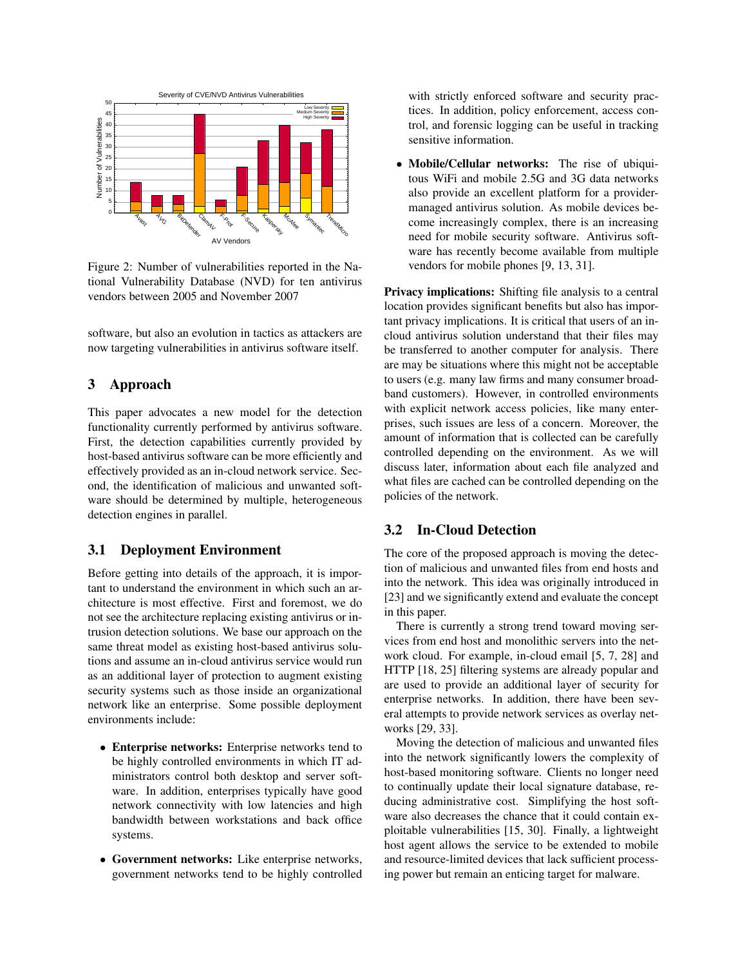

Figure 2: Number of vulnerabilities reported in the National Vulnerability Database (NVD) for ten antivirus vendors between 2005 and November 2007

software, but also an evolution in tactics as attackers are now targeting vulnerabilities in antivirus software itself.

## 3 Approach

This paper advocates a new model for the detection functionality currently performed by antivirus software. First, the detection capabilities currently provided by host-based antivirus software can be more efficiently and effectively provided as an in-cloud network service. Second, the identification of malicious and unwanted software should be determined by multiple, heterogeneous detection engines in parallel.

## 3.1 Deployment Environment

Before getting into details of the approach, it is important to understand the environment in which such an architecture is most effective. First and foremost, we do not see the architecture replacing existing antivirus or intrusion detection solutions. We base our approach on the same threat model as existing host-based antivirus solutions and assume an in-cloud antivirus service would run as an additional layer of protection to augment existing security systems such as those inside an organizational network like an enterprise. Some possible deployment environments include:

- Enterprise networks: Enterprise networks tend to be highly controlled environments in which IT administrators control both desktop and server software. In addition, enterprises typically have good network connectivity with low latencies and high bandwidth between workstations and back office systems.
- Government networks: Like enterprise networks, government networks tend to be highly controlled

with strictly enforced software and security practices. In addition, policy enforcement, access control, and forensic logging can be useful in tracking sensitive information.

• Mobile/Cellular networks: The rise of ubiquitous WiFi and mobile 2.5G and 3G data networks also provide an excellent platform for a providermanaged antivirus solution. As mobile devices become increasingly complex, there is an increasing need for mobile security software. Antivirus software has recently become available from multiple vendors for mobile phones [9, 13, 31].

Privacy implications: Shifting file analysis to a central location provides significant benefits but also has important privacy implications. It is critical that users of an incloud antivirus solution understand that their files may be transferred to another computer for analysis. There are may be situations where this might not be acceptable to users (e.g. many law firms and many consumer broadband customers). However, in controlled environments with explicit network access policies, like many enterprises, such issues are less of a concern. Moreover, the amount of information that is collected can be carefully controlled depending on the environment. As we will discuss later, information about each file analyzed and what files are cached can be controlled depending on the policies of the network.

# 3.2 In-Cloud Detection

The core of the proposed approach is moving the detection of malicious and unwanted files from end hosts and into the network. This idea was originally introduced in [23] and we significantly extend and evaluate the concept in this paper.

There is currently a strong trend toward moving services from end host and monolithic servers into the network cloud. For example, in-cloud email [5, 7, 28] and HTTP [18, 25] filtering systems are already popular and are used to provide an additional layer of security for enterprise networks. In addition, there have been several attempts to provide network services as overlay networks [29, 33].

Moving the detection of malicious and unwanted files into the network significantly lowers the complexity of host-based monitoring software. Clients no longer need to continually update their local signature database, reducing administrative cost. Simplifying the host software also decreases the chance that it could contain exploitable vulnerabilities [15, 30]. Finally, a lightweight host agent allows the service to be extended to mobile and resource-limited devices that lack sufficient processing power but remain an enticing target for malware.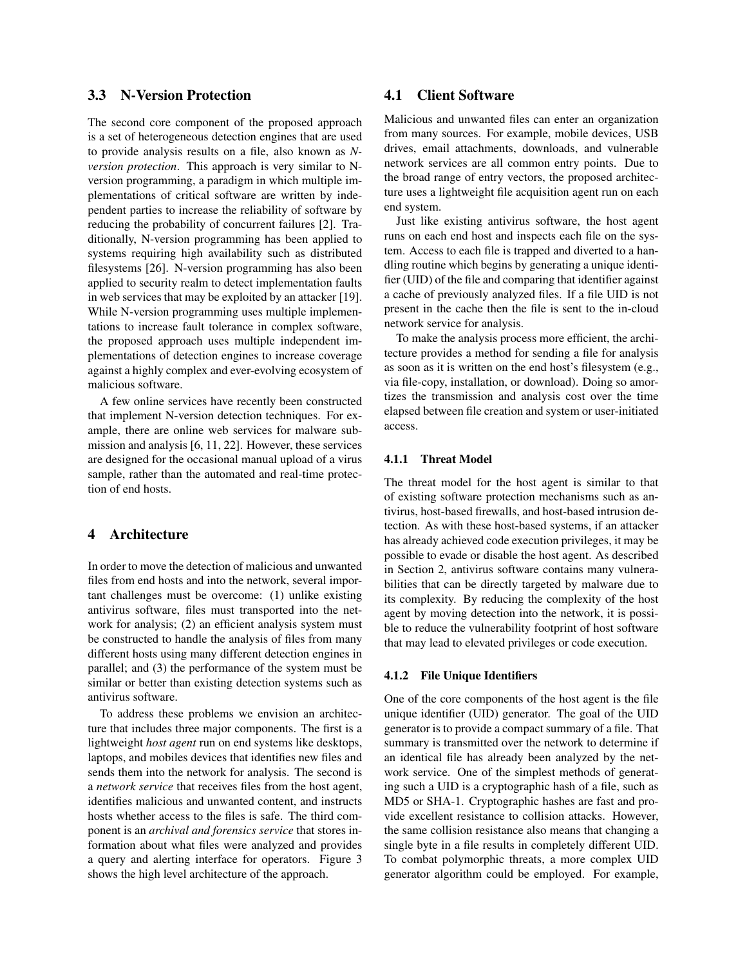# 3.3 N-Version Protection

The second core component of the proposed approach is a set of heterogeneous detection engines that are used to provide analysis results on a file, also known as *Nversion protection*. This approach is very similar to Nversion programming, a paradigm in which multiple implementations of critical software are written by independent parties to increase the reliability of software by reducing the probability of concurrent failures [2]. Traditionally, N-version programming has been applied to systems requiring high availability such as distributed filesystems [26]. N-version programming has also been applied to security realm to detect implementation faults in web services that may be exploited by an attacker [19]. While N-version programming uses multiple implementations to increase fault tolerance in complex software, the proposed approach uses multiple independent implementations of detection engines to increase coverage against a highly complex and ever-evolving ecosystem of malicious software.

A few online services have recently been constructed that implement N-version detection techniques. For example, there are online web services for malware submission and analysis [6, 11, 22]. However, these services are designed for the occasional manual upload of a virus sample, rather than the automated and real-time protection of end hosts.

### 4 Architecture

In order to move the detection of malicious and unwanted files from end hosts and into the network, several important challenges must be overcome: (1) unlike existing antivirus software, files must transported into the network for analysis; (2) an efficient analysis system must be constructed to handle the analysis of files from many different hosts using many different detection engines in parallel; and (3) the performance of the system must be similar or better than existing detection systems such as antivirus software.

To address these problems we envision an architecture that includes three major components. The first is a lightweight *host agent* run on end systems like desktops, laptops, and mobiles devices that identifies new files and sends them into the network for analysis. The second is a *network service* that receives files from the host agent, identifies malicious and unwanted content, and instructs hosts whether access to the files is safe. The third component is an *archival and forensics service* that stores information about what files were analyzed and provides a query and alerting interface for operators. Figure 3 shows the high level architecture of the approach.

# 4.1 Client Software

Malicious and unwanted files can enter an organization from many sources. For example, mobile devices, USB drives, email attachments, downloads, and vulnerable network services are all common entry points. Due to the broad range of entry vectors, the proposed architecture uses a lightweight file acquisition agent run on each end system.

Just like existing antivirus software, the host agent runs on each end host and inspects each file on the system. Access to each file is trapped and diverted to a handling routine which begins by generating a unique identifier (UID) of the file and comparing that identifier against a cache of previously analyzed files. If a file UID is not present in the cache then the file is sent to the in-cloud network service for analysis.

To make the analysis process more efficient, the architecture provides a method for sending a file for analysis as soon as it is written on the end host's filesystem (e.g., via file-copy, installation, or download). Doing so amortizes the transmission and analysis cost over the time elapsed between file creation and system or user-initiated access.

#### 4.1.1 Threat Model

The threat model for the host agent is similar to that of existing software protection mechanisms such as antivirus, host-based firewalls, and host-based intrusion detection. As with these host-based systems, if an attacker has already achieved code execution privileges, it may be possible to evade or disable the host agent. As described in Section 2, antivirus software contains many vulnerabilities that can be directly targeted by malware due to its complexity. By reducing the complexity of the host agent by moving detection into the network, it is possible to reduce the vulnerability footprint of host software that may lead to elevated privileges or code execution.

#### 4.1.2 File Unique Identifiers

One of the core components of the host agent is the file unique identifier (UID) generator. The goal of the UID generator is to provide a compact summary of a file. That summary is transmitted over the network to determine if an identical file has already been analyzed by the network service. One of the simplest methods of generating such a UID is a cryptographic hash of a file, such as MD5 or SHA-1. Cryptographic hashes are fast and provide excellent resistance to collision attacks. However, the same collision resistance also means that changing a single byte in a file results in completely different UID. To combat polymorphic threats, a more complex UID generator algorithm could be employed. For example,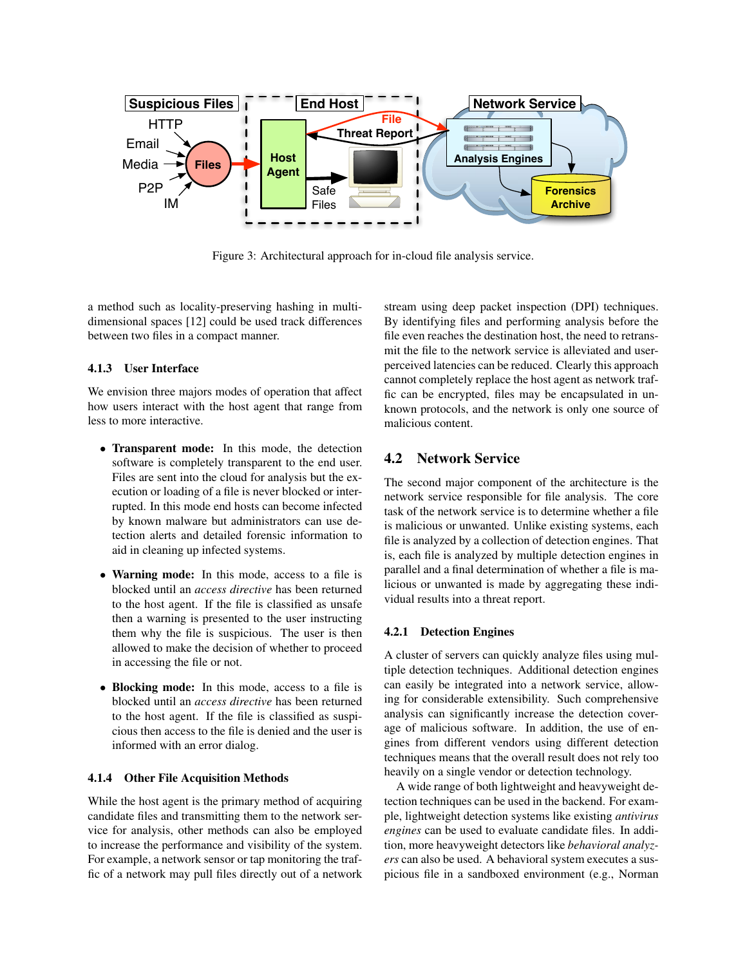

Figure 3: Architectural approach for in-cloud file analysis service.

a method such as locality-preserving hashing in multidimensional spaces [12] could be used track differences between two files in a compact manner.

#### 4.1.3 User Interface

We envision three majors modes of operation that affect how users interact with the host agent that range from less to more interactive.

- Transparent mode: In this mode, the detection software is completely transparent to the end user. Files are sent into the cloud for analysis but the execution or loading of a file is never blocked or interrupted. In this mode end hosts can become infected by known malware but administrators can use detection alerts and detailed forensic information to aid in cleaning up infected systems.
- Warning mode: In this mode, access to a file is blocked until an *access directive* has been returned to the host agent. If the file is classified as unsafe then a warning is presented to the user instructing them why the file is suspicious. The user is then allowed to make the decision of whether to proceed in accessing the file or not.
- Blocking mode: In this mode, access to a file is blocked until an *access directive* has been returned to the host agent. If the file is classified as suspicious then access to the file is denied and the user is informed with an error dialog.

#### 4.1.4 Other File Acquisition Methods

While the host agent is the primary method of acquiring candidate files and transmitting them to the network service for analysis, other methods can also be employed to increase the performance and visibility of the system. For example, a network sensor or tap monitoring the traffic of a network may pull files directly out of a network stream using deep packet inspection (DPI) techniques. By identifying files and performing analysis before the file even reaches the destination host, the need to retransmit the file to the network service is alleviated and userperceived latencies can be reduced. Clearly this approach cannot completely replace the host agent as network traffic can be encrypted, files may be encapsulated in unknown protocols, and the network is only one source of malicious content.

# 4.2 Network Service

The second major component of the architecture is the network service responsible for file analysis. The core task of the network service is to determine whether a file is malicious or unwanted. Unlike existing systems, each file is analyzed by a collection of detection engines. That is, each file is analyzed by multiple detection engines in parallel and a final determination of whether a file is malicious or unwanted is made by aggregating these individual results into a threat report.

#### 4.2.1 Detection Engines

A cluster of servers can quickly analyze files using multiple detection techniques. Additional detection engines can easily be integrated into a network service, allowing for considerable extensibility. Such comprehensive analysis can significantly increase the detection coverage of malicious software. In addition, the use of engines from different vendors using different detection techniques means that the overall result does not rely too heavily on a single vendor or detection technology.

A wide range of both lightweight and heavyweight detection techniques can be used in the backend. For example, lightweight detection systems like existing *antivirus engines* can be used to evaluate candidate files. In addition, more heavyweight detectors like *behavioral analyzers* can also be used. A behavioral system executes a suspicious file in a sandboxed environment (e.g., Norman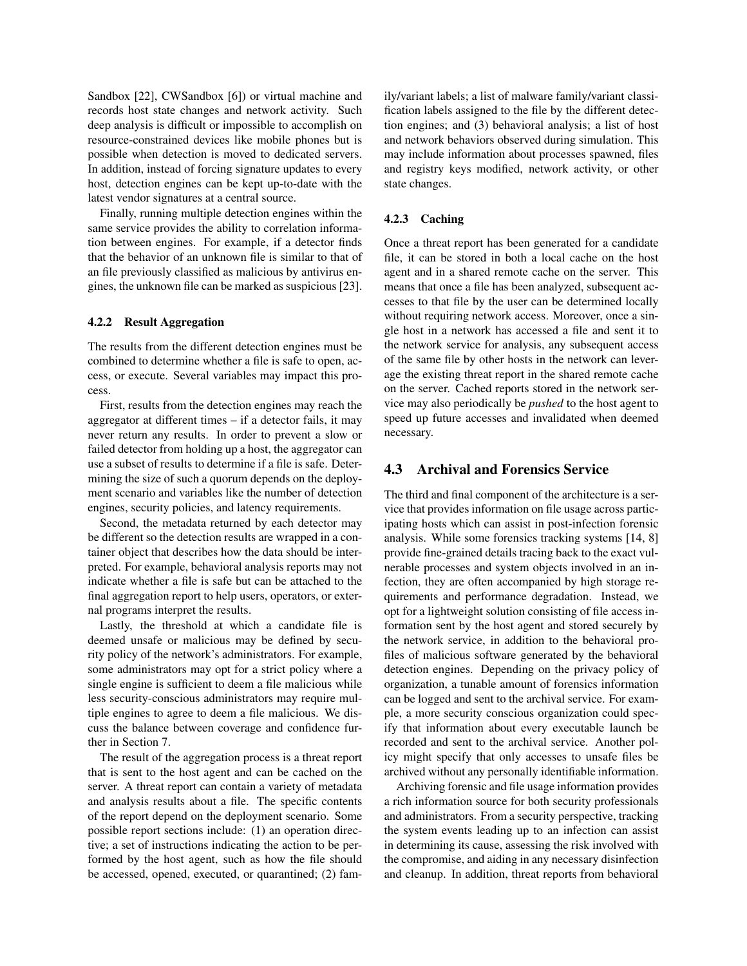Sandbox [22], CWSandbox [6]) or virtual machine and records host state changes and network activity. Such deep analysis is difficult or impossible to accomplish on resource-constrained devices like mobile phones but is possible when detection is moved to dedicated servers. In addition, instead of forcing signature updates to every host, detection engines can be kept up-to-date with the latest vendor signatures at a central source.

Finally, running multiple detection engines within the same service provides the ability to correlation information between engines. For example, if a detector finds that the behavior of an unknown file is similar to that of an file previously classified as malicious by antivirus engines, the unknown file can be marked as suspicious [23].

#### 4.2.2 Result Aggregation

The results from the different detection engines must be combined to determine whether a file is safe to open, access, or execute. Several variables may impact this process.

First, results from the detection engines may reach the aggregator at different times – if a detector fails, it may never return any results. In order to prevent a slow or failed detector from holding up a host, the aggregator can use a subset of results to determine if a file is safe. Determining the size of such a quorum depends on the deployment scenario and variables like the number of detection engines, security policies, and latency requirements.

Second, the metadata returned by each detector may be different so the detection results are wrapped in a container object that describes how the data should be interpreted. For example, behavioral analysis reports may not indicate whether a file is safe but can be attached to the final aggregation report to help users, operators, or external programs interpret the results.

Lastly, the threshold at which a candidate file is deemed unsafe or malicious may be defined by security policy of the network's administrators. For example, some administrators may opt for a strict policy where a single engine is sufficient to deem a file malicious while less security-conscious administrators may require multiple engines to agree to deem a file malicious. We discuss the balance between coverage and confidence further in Section 7.

The result of the aggregation process is a threat report that is sent to the host agent and can be cached on the server. A threat report can contain a variety of metadata and analysis results about a file. The specific contents of the report depend on the deployment scenario. Some possible report sections include: (1) an operation directive; a set of instructions indicating the action to be performed by the host agent, such as how the file should be accessed, opened, executed, or quarantined; (2) family/variant labels; a list of malware family/variant classification labels assigned to the file by the different detection engines; and (3) behavioral analysis; a list of host and network behaviors observed during simulation. This may include information about processes spawned, files and registry keys modified, network activity, or other state changes.

#### 4.2.3 Caching

Once a threat report has been generated for a candidate file, it can be stored in both a local cache on the host agent and in a shared remote cache on the server. This means that once a file has been analyzed, subsequent accesses to that file by the user can be determined locally without requiring network access. Moreover, once a single host in a network has accessed a file and sent it to the network service for analysis, any subsequent access of the same file by other hosts in the network can leverage the existing threat report in the shared remote cache on the server. Cached reports stored in the network service may also periodically be *pushed* to the host agent to speed up future accesses and invalidated when deemed necessary.

#### 4.3 Archival and Forensics Service

The third and final component of the architecture is a service that provides information on file usage across participating hosts which can assist in post-infection forensic analysis. While some forensics tracking systems [14, 8] provide fine-grained details tracing back to the exact vulnerable processes and system objects involved in an infection, they are often accompanied by high storage requirements and performance degradation. Instead, we opt for a lightweight solution consisting of file access information sent by the host agent and stored securely by the network service, in addition to the behavioral profiles of malicious software generated by the behavioral detection engines. Depending on the privacy policy of organization, a tunable amount of forensics information can be logged and sent to the archival service. For example, a more security conscious organization could specify that information about every executable launch be recorded and sent to the archival service. Another policy might specify that only accesses to unsafe files be archived without any personally identifiable information.

Archiving forensic and file usage information provides a rich information source for both security professionals and administrators. From a security perspective, tracking the system events leading up to an infection can assist in determining its cause, assessing the risk involved with the compromise, and aiding in any necessary disinfection and cleanup. In addition, threat reports from behavioral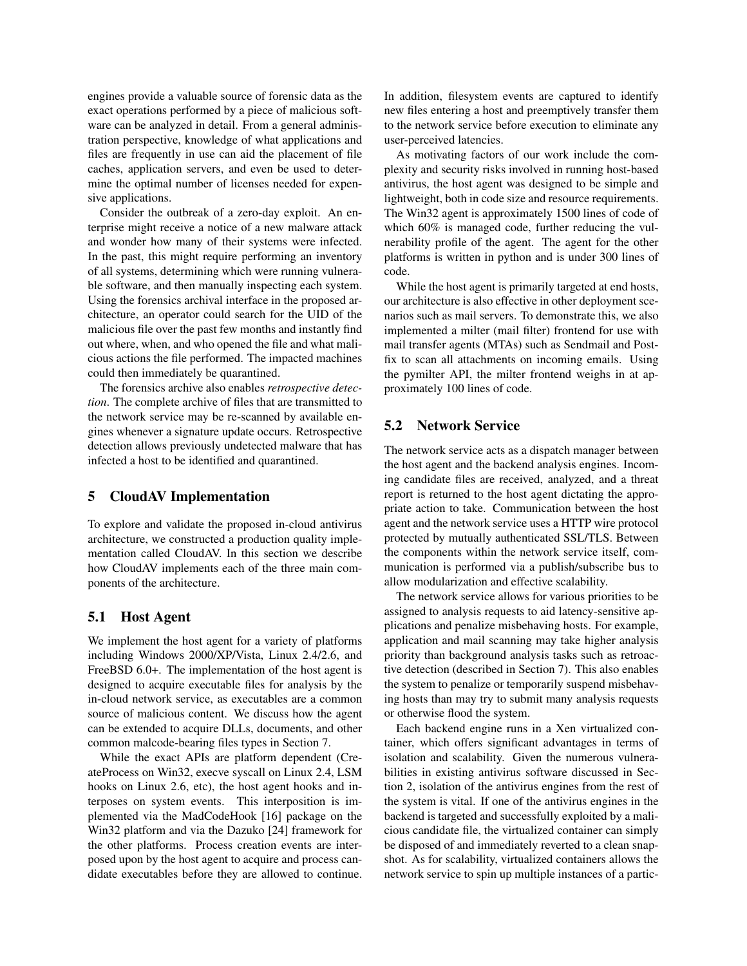engines provide a valuable source of forensic data as the exact operations performed by a piece of malicious software can be analyzed in detail. From a general administration perspective, knowledge of what applications and files are frequently in use can aid the placement of file caches, application servers, and even be used to determine the optimal number of licenses needed for expensive applications.

Consider the outbreak of a zero-day exploit. An enterprise might receive a notice of a new malware attack and wonder how many of their systems were infected. In the past, this might require performing an inventory of all systems, determining which were running vulnerable software, and then manually inspecting each system. Using the forensics archival interface in the proposed architecture, an operator could search for the UID of the malicious file over the past few months and instantly find out where, when, and who opened the file and what malicious actions the file performed. The impacted machines could then immediately be quarantined.

The forensics archive also enables *retrospective detection*. The complete archive of files that are transmitted to the network service may be re-scanned by available engines whenever a signature update occurs. Retrospective detection allows previously undetected malware that has infected a host to be identified and quarantined.

#### 5 CloudAV Implementation

To explore and validate the proposed in-cloud antivirus architecture, we constructed a production quality implementation called CloudAV. In this section we describe how CloudAV implements each of the three main components of the architecture.

### 5.1 Host Agent

We implement the host agent for a variety of platforms including Windows 2000/XP/Vista, Linux 2.4/2.6, and FreeBSD 6.0+. The implementation of the host agent is designed to acquire executable files for analysis by the in-cloud network service, as executables are a common source of malicious content. We discuss how the agent can be extended to acquire DLLs, documents, and other common malcode-bearing files types in Section 7.

While the exact APIs are platform dependent (CreateProcess on Win32, execve syscall on Linux 2.4, LSM hooks on Linux 2.6, etc), the host agent hooks and interposes on system events. This interposition is implemented via the MadCodeHook [16] package on the Win32 platform and via the Dazuko [24] framework for the other platforms. Process creation events are interposed upon by the host agent to acquire and process candidate executables before they are allowed to continue. In addition, filesystem events are captured to identify new files entering a host and preemptively transfer them to the network service before execution to eliminate any user-perceived latencies.

As motivating factors of our work include the complexity and security risks involved in running host-based antivirus, the host agent was designed to be simple and lightweight, both in code size and resource requirements. The Win32 agent is approximately 1500 lines of code of which 60% is managed code, further reducing the vulnerability profile of the agent. The agent for the other platforms is written in python and is under 300 lines of code.

While the host agent is primarily targeted at end hosts, our architecture is also effective in other deployment scenarios such as mail servers. To demonstrate this, we also implemented a milter (mail filter) frontend for use with mail transfer agents (MTAs) such as Sendmail and Postfix to scan all attachments on incoming emails. Using the pymilter API, the milter frontend weighs in at approximately 100 lines of code.

### 5.2 Network Service

The network service acts as a dispatch manager between the host agent and the backend analysis engines. Incoming candidate files are received, analyzed, and a threat report is returned to the host agent dictating the appropriate action to take. Communication between the host agent and the network service uses a HTTP wire protocol protected by mutually authenticated SSL/TLS. Between the components within the network service itself, communication is performed via a publish/subscribe bus to allow modularization and effective scalability.

The network service allows for various priorities to be assigned to analysis requests to aid latency-sensitive applications and penalize misbehaving hosts. For example, application and mail scanning may take higher analysis priority than background analysis tasks such as retroactive detection (described in Section 7). This also enables the system to penalize or temporarily suspend misbehaving hosts than may try to submit many analysis requests or otherwise flood the system.

Each backend engine runs in a Xen virtualized container, which offers significant advantages in terms of isolation and scalability. Given the numerous vulnerabilities in existing antivirus software discussed in Section 2, isolation of the antivirus engines from the rest of the system is vital. If one of the antivirus engines in the backend is targeted and successfully exploited by a malicious candidate file, the virtualized container can simply be disposed of and immediately reverted to a clean snapshot. As for scalability, virtualized containers allows the network service to spin up multiple instances of a partic-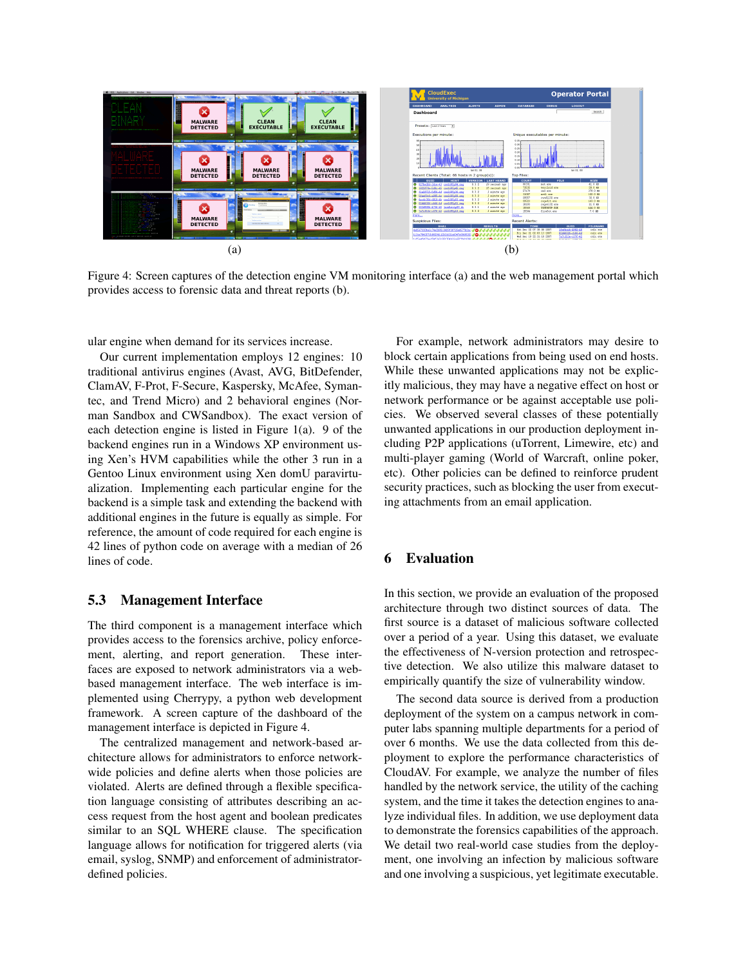

Figure 4: Screen captures of the detection engine VM monitoring interface (a) and the web management portal which provides access to forensic data and threat reports (b).

ular engine when demand for its services increase.

Our current implementation employs 12 engines: 10 traditional antivirus engines (Avast, AVG, BitDefender, ClamAV, F-Prot, F-Secure, Kaspersky, McAfee, Symantec, and Trend Micro) and 2 behavioral engines (Norman Sandbox and CWSandbox). The exact version of each detection engine is listed in Figure 1(a). 9 of the backend engines run in a Windows XP environment using Xen's HVM capabilities while the other 3 run in a Gentoo Linux environment using Xen domU paravirtualization. Implementing each particular engine for the backend is a simple task and extending the backend with additional engines in the future is equally as simple. For reference, the amount of code required for each engine is 42 lines of python code on average with a median of 26 lines of code.

### 5.3 Management Interface

The third component is a management interface which provides access to the forensics archive, policy enforcement, alerting, and report generation. These interfaces are exposed to network administrators via a webbased management interface. The web interface is implemented using Cherrypy, a python web development framework. A screen capture of the dashboard of the management interface is depicted in Figure 4.

The centralized management and network-based architecture allows for administrators to enforce networkwide policies and define alerts when those policies are violated. Alerts are defined through a flexible specification language consisting of attributes describing an access request from the host agent and boolean predicates similar to an SQL WHERE clause. The specification language allows for notification for triggered alerts (via email, syslog, SNMP) and enforcement of administratordefined policies.

For example, network administrators may desire to block certain applications from being used on end hosts. While these unwanted applications may not be explicitly malicious, they may have a negative effect on host or network performance or be against acceptable use policies. We observed several classes of these potentially unwanted applications in our production deployment including P2P applications (uTorrent, Limewire, etc) and multi-player gaming (World of Warcraft, online poker, etc). Other policies can be defined to reinforce prudent security practices, such as blocking the user from executing attachments from an email application.

# 6 Evaluation

In this section, we provide an evaluation of the proposed architecture through two distinct sources of data. The first source is a dataset of malicious software collected over a period of a year. Using this dataset, we evaluate the effectiveness of N-version protection and retrospective detection. We also utilize this malware dataset to empirically quantify the size of vulnerability window.

The second data source is derived from a production deployment of the system on a campus network in computer labs spanning multiple departments for a period of over 6 months. We use the data collected from this deployment to explore the performance characteristics of CloudAV. For example, we analyze the number of files handled by the network service, the utility of the caching system, and the time it takes the detection engines to analyze individual files. In addition, we use deployment data to demonstrate the forensics capabilities of the approach. We detail two real-world case studies from the deployment, one involving an infection by malicious software and one involving a suspicious, yet legitimate executable.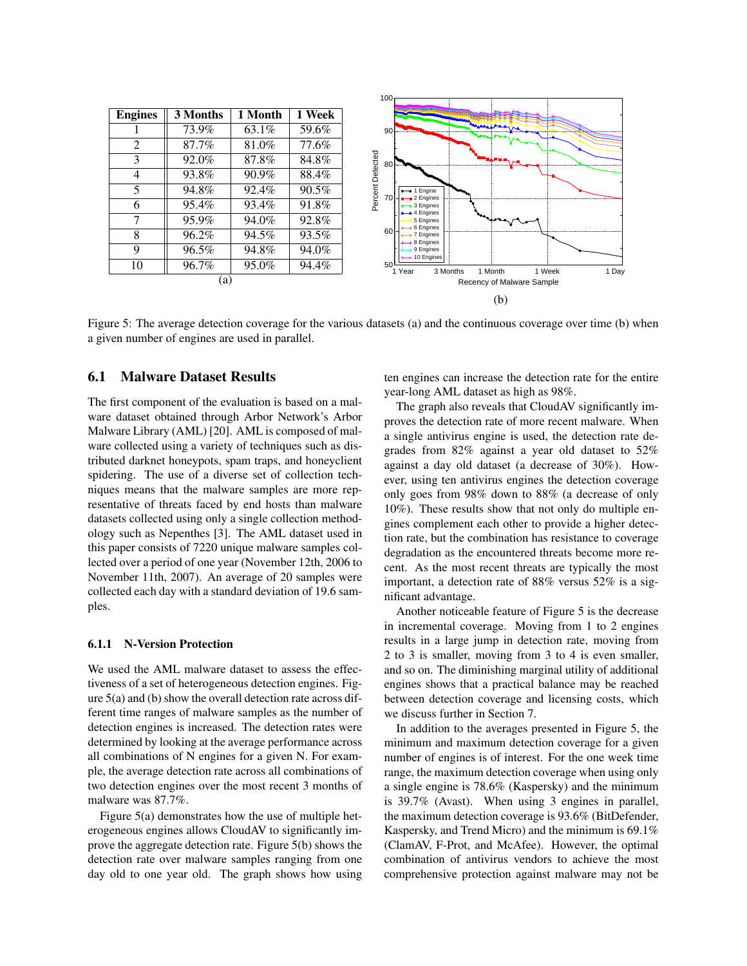| <b>Engines</b> | 3 Months | 1 Month  | 1 Week |
|----------------|----------|----------|--------|
|                | 73.9%    | $63.1\%$ | 59.6%  |
| $\overline{2}$ | 87.7%    | 81.0%    | 77.6%  |
| 3              | 92.0%    | 87.8%    | 84.8%  |
| 4              | 93.8%    | 90.9%    | 88.4%  |
| 5              | 94.8%    | $92.4\%$ | 90.5%  |
| 6              | $95.4\%$ | 93.4%    | 91.8%  |
| 7              | 95.9%    | 94.0%    | 92.8%  |
| 8              | $96.2\%$ | $94.5\%$ | 93.5%  |
| 9              | 96.5%    | 94.8%    | 94.0%  |
| 10             | 96.7%    | 95.0%    | 94.4%  |
| (a)            |          |          |        |



Figure 5: The average detection coverage for the various datasets (a) and the continuous coverage over time (b) when a given number of engines are used in parallel.

#### 6.1 Malware Dataset Results

The first component of the evaluation is based on a malware dataset obtained through Arbor Network's Arbor Malware Library (AML) [20]. AML is composed of malware collected using a variety of techniques such as distributed darknet honeypots, spam traps, and honeyclient spidering. The use of a diverse set of collection techniques means that the malware samples are more representative of threats faced by end hosts than malware datasets collected using only a single collection methodology such as Nepenthes [3]. The AML dataset used in this paper consists of 7220 unique malware samples collected over a period of one year (November 12th, 2006 to November 11th, 2007). An average of 20 samples were collected each day with a standard deviation of 19.6 samples.

#### 6.1.1 N-Version Protection

We used the AML malware dataset to assess the effectiveness of a set of heterogeneous detection engines. Figure 5(a) and (b) show the overall detection rate across different time ranges of malware samples as the number of detection engines is increased. The detection rates were determined by looking at the average performance across all combinations of N engines for a given N. For example, the average detection rate across all combinations of two detection engines over the most recent 3 months of malware was 87.7%.

Figure 5(a) demonstrates how the use of multiple heterogeneous engines allows CloudAV to significantly improve the aggregate detection rate. Figure 5(b) shows the detection rate over malware samples ranging from one day old to one year old. The graph shows how using ten engines can increase the detection rate for the entire year-long AML dataset as high as 98%.

The graph also reveals that CloudAV significantly improves the detection rate of more recent malware. When a single antivirus engine is used, the detection rate degrades from 82% against a year old dataset to 52% against a day old dataset (a decrease of 30%). However, using ten antivirus engines the detection coverage only goes from 98% down to 88% (a decrease of only 10%). These results show that not only do multiple engines complement each other to provide a higher detection rate, but the combination has resistance to coverage degradation as the encountered threats become more recent. As the most recent threats are typically the most important, a detection rate of 88% versus 52% is a significant advantage.

Another noticeable feature of Figure 5 is the decrease in incremental coverage. Moving from 1 to 2 engines results in a large jump in detection rate, moving from 2 to 3 is smaller, moving from 3 to 4 is even smaller, and so on. The diminishing marginal utility of additional engines shows that a practical balance may be reached between detection coverage and licensing costs, which we discuss further in Section 7.

In addition to the averages presented in Figure 5, the minimum and maximum detection coverage for a given number of engines is of interest. For the one week time range, the maximum detection coverage when using only a single engine is 78.6% (Kaspersky) and the minimum is 39.7% (Avast). When using 3 engines in parallel, the maximum detection coverage is 93.6% (BitDefender, Kaspersky, and Trend Micro) and the minimum is 69.1% (ClamAV, F-Prot, and McAfee). However, the optimal combination of antivirus vendors to achieve the most comprehensive protection against malware may not be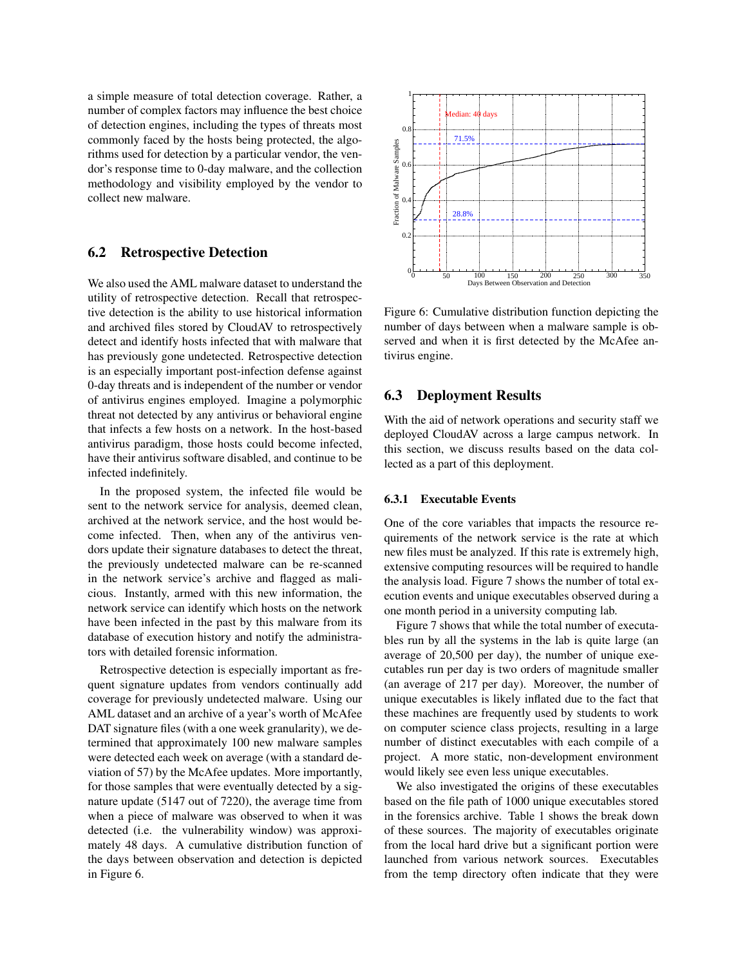a simple measure of total detection coverage. Rather, a number of complex factors may influence the best choice of detection engines, including the types of threats most commonly faced by the hosts being protected, the algorithms used for detection by a particular vendor, the vendor's response time to 0-day malware, and the collection methodology and visibility employed by the vendor to collect new malware.

## 6.2 Retrospective Detection

We also used the AML malware dataset to understand the utility of retrospective detection. Recall that retrospective detection is the ability to use historical information and archived files stored by CloudAV to retrospectively detect and identify hosts infected that with malware that has previously gone undetected. Retrospective detection is an especially important post-infection defense against 0-day threats and is independent of the number or vendor of antivirus engines employed. Imagine a polymorphic threat not detected by any antivirus or behavioral engine that infects a few hosts on a network. In the host-based antivirus paradigm, those hosts could become infected, have their antivirus software disabled, and continue to be infected indefinitely.

In the proposed system, the infected file would be sent to the network service for analysis, deemed clean, archived at the network service, and the host would become infected. Then, when any of the antivirus vendors update their signature databases to detect the threat, the previously undetected malware can be re-scanned in the network service's archive and flagged as malicious. Instantly, armed with this new information, the network service can identify which hosts on the network have been infected in the past by this malware from its database of execution history and notify the administrators with detailed forensic information.

Retrospective detection is especially important as frequent signature updates from vendors continually add coverage for previously undetected malware. Using our AML dataset and an archive of a year's worth of McAfee DAT signature files (with a one week granularity), we determined that approximately 100 new malware samples were detected each week on average (with a standard deviation of 57) by the McAfee updates. More importantly, for those samples that were eventually detected by a signature update (5147 out of 7220), the average time from when a piece of malware was observed to when it was detected (i.e. the vulnerability window) was approximately 48 days. A cumulative distribution function of the days between observation and detection is depicted in Figure 6.



Figure 6: Cumulative distribution function depicting the number of days between when a malware sample is observed and when it is first detected by the McAfee antivirus engine.

# 6.3 Deployment Results

With the aid of network operations and security staff we deployed CloudAV across a large campus network. In this section, we discuss results based on the data collected as a part of this deployment.

#### 6.3.1 Executable Events

One of the core variables that impacts the resource requirements of the network service is the rate at which new files must be analyzed. If this rate is extremely high, extensive computing resources will be required to handle the analysis load. Figure 7 shows the number of total execution events and unique executables observed during a one month period in a university computing lab.

Figure 7 shows that while the total number of executables run by all the systems in the lab is quite large (an average of 20,500 per day), the number of unique executables run per day is two orders of magnitude smaller (an average of 217 per day). Moreover, the number of unique executables is likely inflated due to the fact that these machines are frequently used by students to work on computer science class projects, resulting in a large number of distinct executables with each compile of a project. A more static, non-development environment would likely see even less unique executables.

We also investigated the origins of these executables based on the file path of 1000 unique executables stored in the forensics archive. Table 1 shows the break down of these sources. The majority of executables originate from the local hard drive but a significant portion were launched from various network sources. Executables from the temp directory often indicate that they were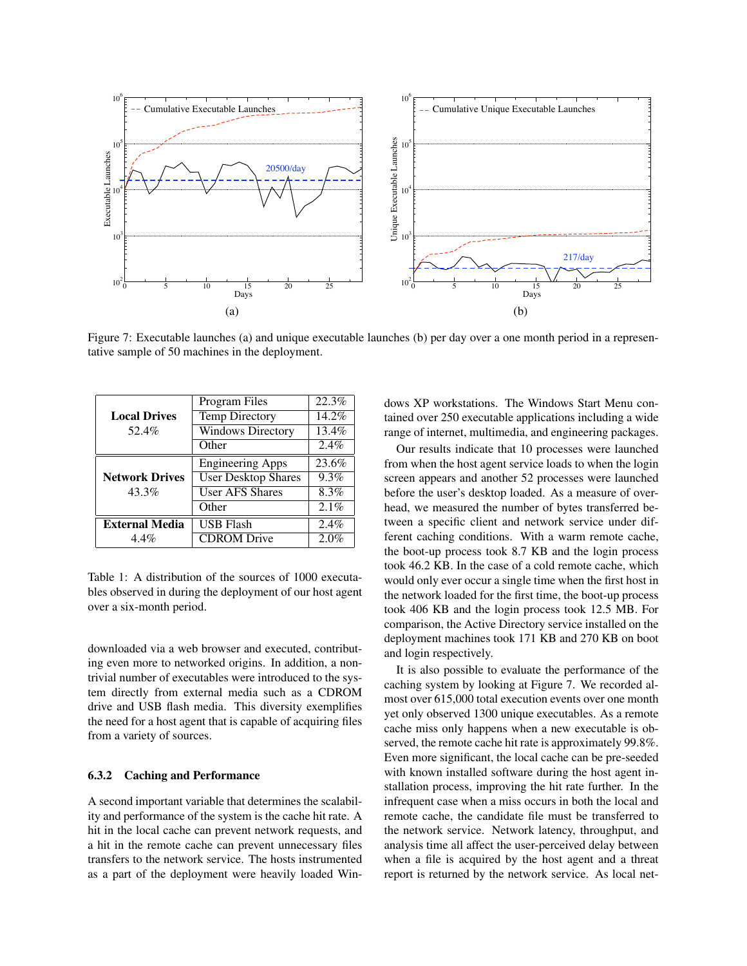

Figure 7: Executable launches (a) and unique executable launches (b) per day over a one month period in a representative sample of 50 machines in the deployment.

|                       | Program Files              | 22.3%   |
|-----------------------|----------------------------|---------|
| <b>Local Drives</b>   | <b>Temp Directory</b>      | 14.2%   |
| 52.4%                 | <b>Windows Directory</b>   | 13.4%   |
|                       | Other                      | $2.4\%$ |
|                       | <b>Engineering Apps</b>    | 23.6%   |
| <b>Network Drives</b> | <b>User Desktop Shares</b> | 9.3%    |
| 43.3%                 | <b>User AFS Shares</b>     | 8.3%    |
|                       | Other                      | 2.1%    |
| <b>External Media</b> | <b>USB Flash</b>           | 2.4%    |
| $4.4\%$               | <b>CDROM</b> Drive         | 2.0%    |

Table 1: A distribution of the sources of 1000 executables observed in during the deployment of our host agent over a six-month period.

downloaded via a web browser and executed, contributing even more to networked origins. In addition, a nontrivial number of executables were introduced to the system directly from external media such as a CDROM drive and USB flash media. This diversity exemplifies the need for a host agent that is capable of acquiring files from a variety of sources.

#### 6.3.2 Caching and Performance

A second important variable that determines the scalability and performance of the system is the cache hit rate. A hit in the local cache can prevent network requests, and a hit in the remote cache can prevent unnecessary files transfers to the network service. The hosts instrumented as a part of the deployment were heavily loaded Windows XP workstations. The Windows Start Menu contained over 250 executable applications including a wide range of internet, multimedia, and engineering packages.

Our results indicate that 10 processes were launched from when the host agent service loads to when the login screen appears and another 52 processes were launched before the user's desktop loaded. As a measure of overhead, we measured the number of bytes transferred between a specific client and network service under different caching conditions. With a warm remote cache, the boot-up process took 8.7 KB and the login process took 46.2 KB. In the case of a cold remote cache, which would only ever occur a single time when the first host in the network loaded for the first time, the boot-up process took 406 KB and the login process took 12.5 MB. For comparison, the Active Directory service installed on the deployment machines took 171 KB and 270 KB on boot and login respectively.

It is also possible to evaluate the performance of the caching system by looking at Figure 7. We recorded almost over 615,000 total execution events over one month yet only observed 1300 unique executables. As a remote cache miss only happens when a new executable is observed, the remote cache hit rate is approximately 99.8%. Even more significant, the local cache can be pre-seeded with known installed software during the host agent installation process, improving the hit rate further. In the infrequent case when a miss occurs in both the local and remote cache, the candidate file must be transferred to the network service. Network latency, throughput, and analysis time all affect the user-perceived delay between when a file is acquired by the host agent and a threat report is returned by the network service. As local net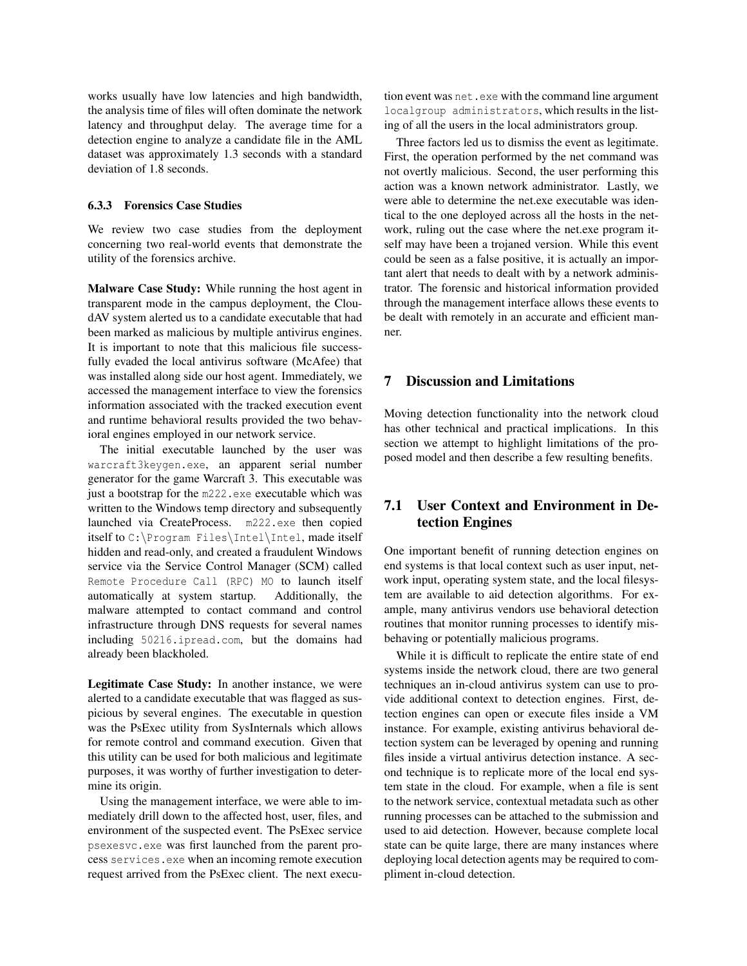works usually have low latencies and high bandwidth, the analysis time of files will often dominate the network latency and throughput delay. The average time for a detection engine to analyze a candidate file in the AML dataset was approximately 1.3 seconds with a standard deviation of 1.8 seconds.

#### 6.3.3 Forensics Case Studies

We review two case studies from the deployment concerning two real-world events that demonstrate the utility of the forensics archive.

Malware Case Study: While running the host agent in transparent mode in the campus deployment, the CloudAV system alerted us to a candidate executable that had been marked as malicious by multiple antivirus engines. It is important to note that this malicious file successfully evaded the local antivirus software (McAfee) that was installed along side our host agent. Immediately, we accessed the management interface to view the forensics information associated with the tracked execution event and runtime behavioral results provided the two behavioral engines employed in our network service.

The initial executable launched by the user was warcraft3keygen.exe, an apparent serial number generator for the game Warcraft 3. This executable was just a bootstrap for the m222.exe executable which was written to the Windows temp directory and subsequently launched via CreateProcess. m222.exe then copied itself to C:\Program Files\Intel\Intel, made itself hidden and read-only, and created a fraudulent Windows service via the Service Control Manager (SCM) called Remote Procedure Call (RPC) MO to launch itself automatically at system startup. Additionally, the malware attempted to contact command and control infrastructure through DNS requests for several names including 50216.ipread.com, but the domains had already been blackholed.

Legitimate Case Study: In another instance, we were alerted to a candidate executable that was flagged as suspicious by several engines. The executable in question was the PsExec utility from SysInternals which allows for remote control and command execution. Given that this utility can be used for both malicious and legitimate purposes, it was worthy of further investigation to determine its origin.

Using the management interface, we were able to immediately drill down to the affected host, user, files, and environment of the suspected event. The PsExec service psexesvc.exe was first launched from the parent process services.exe when an incoming remote execution request arrived from the PsExec client. The next execution event was net.exe with the command line argument localgroup administrators, which results in the listing of all the users in the local administrators group.

Three factors led us to dismiss the event as legitimate. First, the operation performed by the net command was not overtly malicious. Second, the user performing this action was a known network administrator. Lastly, we were able to determine the net.exe executable was identical to the one deployed across all the hosts in the network, ruling out the case where the net.exe program itself may have been a trojaned version. While this event could be seen as a false positive, it is actually an important alert that needs to dealt with by a network administrator. The forensic and historical information provided through the management interface allows these events to be dealt with remotely in an accurate and efficient manner.

# 7 Discussion and Limitations

Moving detection functionality into the network cloud has other technical and practical implications. In this section we attempt to highlight limitations of the proposed model and then describe a few resulting benefits.

# 7.1 User Context and Environment in Detection Engines

One important benefit of running detection engines on end systems is that local context such as user input, network input, operating system state, and the local filesystem are available to aid detection algorithms. For example, many antivirus vendors use behavioral detection routines that monitor running processes to identify misbehaving or potentially malicious programs.

While it is difficult to replicate the entire state of end systems inside the network cloud, there are two general techniques an in-cloud antivirus system can use to provide additional context to detection engines. First, detection engines can open or execute files inside a VM instance. For example, existing antivirus behavioral detection system can be leveraged by opening and running files inside a virtual antivirus detection instance. A second technique is to replicate more of the local end system state in the cloud. For example, when a file is sent to the network service, contextual metadata such as other running processes can be attached to the submission and used to aid detection. However, because complete local state can be quite large, there are many instances where deploying local detection agents may be required to compliment in-cloud detection.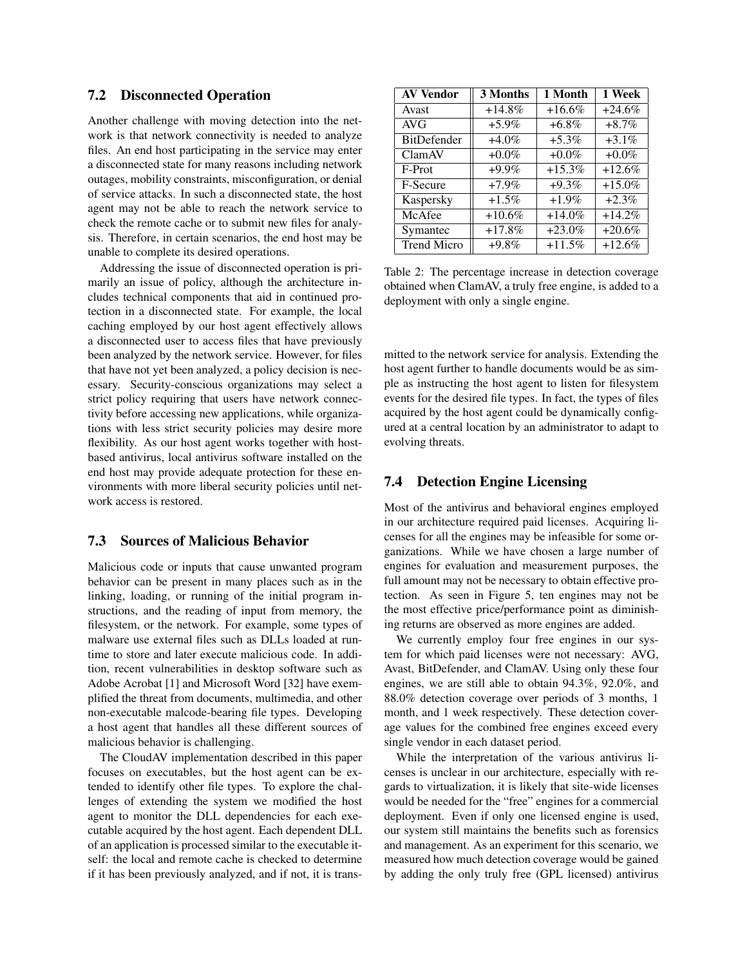#### 7.2 Disconnected Operation

Another challenge with moving detection into the network is that network connectivity is needed to analyze files. An end host participating in the service may enter a disconnected state for many reasons including network outages, mobility constraints, misconfiguration, or denial of service attacks. In such a disconnected state, the host agent may not be able to reach the network service to check the remote cache or to submit new files for analysis. Therefore, in certain scenarios, the end host may be unable to complete its desired operations.

Addressing the issue of disconnected operation is primarily an issue of policy, although the architecture includes technical components that aid in continued protection in a disconnected state. For example, the local caching employed by our host agent effectively allows a disconnected user to access files that have previously been analyzed by the network service. However, for files that have not yet been analyzed, a policy decision is necessary. Security-conscious organizations may select a strict policy requiring that users have network connectivity before accessing new applications, while organizations with less strict security policies may desire more flexibility. As our host agent works together with hostbased antivirus, local antivirus software installed on the end host may provide adequate protection for these environments with more liberal security policies until network access is restored.

#### 7.3 Sources of Malicious Behavior

Malicious code or inputs that cause unwanted program behavior can be present in many places such as in the linking, loading, or running of the initial program instructions, and the reading of input from memory, the filesystem, or the network. For example, some types of malware use external files such as DLLs loaded at runtime to store and later execute malicious code. In addition, recent vulnerabilities in desktop software such as Adobe Acrobat [1] and Microsoft Word [32] have exemplified the threat from documents, multimedia, and other non-executable malcode-bearing file types. Developing a host agent that handles all these different sources of malicious behavior is challenging.

The CloudAV implementation described in this paper focuses on executables, but the host agent can be extended to identify other file types. To explore the challenges of extending the system we modified the host agent to monitor the DLL dependencies for each executable acquired by the host agent. Each dependent DLL of an application is processed similar to the executable itself: the local and remote cache is checked to determine if it has been previously analyzed, and if not, it is trans-

| <b>AV Vendor</b>   | 3 Months | 1 Month   | 1 Week   |
|--------------------|----------|-----------|----------|
| Avast              | $+14.8%$ | $+16.6%$  | $+24.6%$ |
| AVG                | $+5.9\%$ | $+6.8\%$  | $+8.7\%$ |
| <b>BitDefender</b> | $+4.0\%$ | $+5.3\%$  | $+3.1\%$ |
| ClamAV             | $+0.0\%$ | $+0.0\%$  | $+0.0\%$ |
| F-Prot             | $+9.9\%$ | $+15.3%$  | $+12.6%$ |
| F-Secure           | $+7.9\%$ | $+9.3\%$  | $+15.0%$ |
| Kaspersky          | $+1.5\%$ | $+1.9\%$  | $+2.3%$  |
| McAfee             | $+10.6%$ | $+14.0\%$ | $+14.2%$ |
| Symantec           | $+17.8%$ | $+23.0%$  | $+20.6%$ |
| <b>Trend Micro</b> | $+9.8\%$ | $+11.5%$  | $+12.6%$ |

Table 2: The percentage increase in detection coverage obtained when ClamAV, a truly free engine, is added to a deployment with only a single engine.

mitted to the network service for analysis. Extending the host agent further to handle documents would be as simple as instructing the host agent to listen for filesystem events for the desired file types. In fact, the types of files acquired by the host agent could be dynamically configured at a central location by an administrator to adapt to evolving threats.

### 7.4 Detection Engine Licensing

Most of the antivirus and behavioral engines employed in our architecture required paid licenses. Acquiring licenses for all the engines may be infeasible for some organizations. While we have chosen a large number of engines for evaluation and measurement purposes, the full amount may not be necessary to obtain effective protection. As seen in Figure 5, ten engines may not be the most effective price/performance point as diminishing returns are observed as more engines are added.

We currently employ four free engines in our system for which paid licenses were not necessary: AVG, Avast, BitDefender, and ClamAV. Using only these four engines, we are still able to obtain 94.3%, 92.0%, and 88.0% detection coverage over periods of 3 months, 1 month, and 1 week respectively. These detection coverage values for the combined free engines exceed every single vendor in each dataset period.

While the interpretation of the various antivirus licenses is unclear in our architecture, especially with regards to virtualization, it is likely that site-wide licenses would be needed for the "free" engines for a commercial deployment. Even if only one licensed engine is used, our system still maintains the benefits such as forensics and management. As an experiment for this scenario, we measured how much detection coverage would be gained by adding the only truly free (GPL licensed) antivirus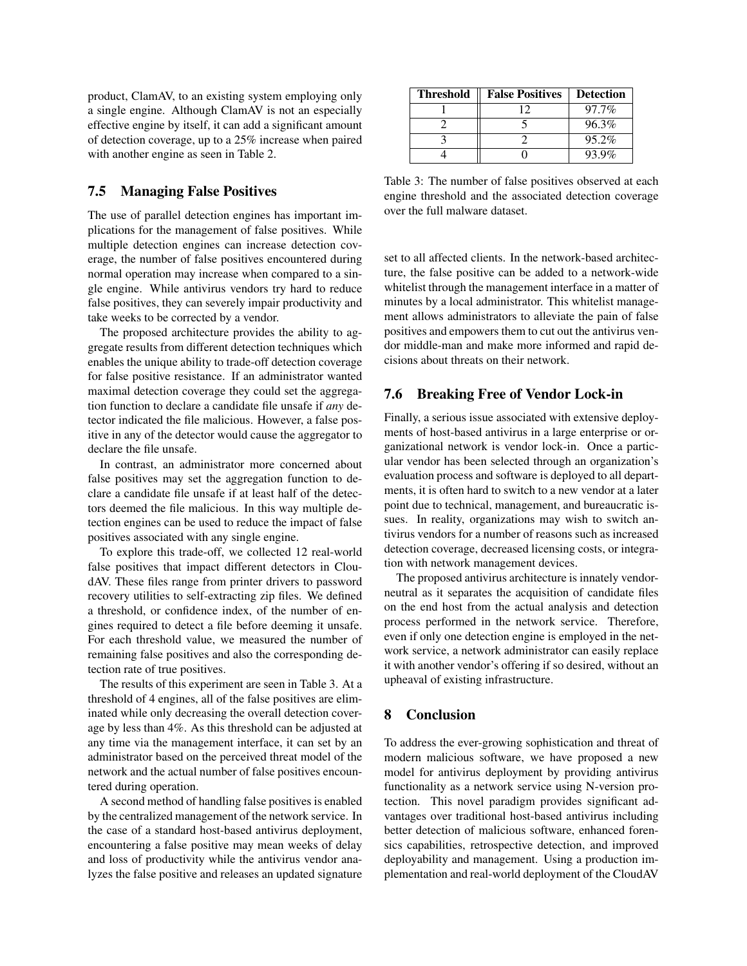product, ClamAV, to an existing system employing only a single engine. Although ClamAV is not an especially effective engine by itself, it can add a significant amount of detection coverage, up to a 25% increase when paired with another engine as seen in Table 2.

### 7.5 Managing False Positives

The use of parallel detection engines has important implications for the management of false positives. While multiple detection engines can increase detection coverage, the number of false positives encountered during normal operation may increase when compared to a single engine. While antivirus vendors try hard to reduce false positives, they can severely impair productivity and take weeks to be corrected by a vendor.

The proposed architecture provides the ability to aggregate results from different detection techniques which enables the unique ability to trade-off detection coverage for false positive resistance. If an administrator wanted maximal detection coverage they could set the aggregation function to declare a candidate file unsafe if *any* detector indicated the file malicious. However, a false positive in any of the detector would cause the aggregator to declare the file unsafe.

In contrast, an administrator more concerned about false positives may set the aggregation function to declare a candidate file unsafe if at least half of the detectors deemed the file malicious. In this way multiple detection engines can be used to reduce the impact of false positives associated with any single engine.

To explore this trade-off, we collected 12 real-world false positives that impact different detectors in CloudAV. These files range from printer drivers to password recovery utilities to self-extracting zip files. We defined a threshold, or confidence index, of the number of engines required to detect a file before deeming it unsafe. For each threshold value, we measured the number of remaining false positives and also the corresponding detection rate of true positives.

The results of this experiment are seen in Table 3. At a threshold of 4 engines, all of the false positives are eliminated while only decreasing the overall detection coverage by less than 4%. As this threshold can be adjusted at any time via the management interface, it can set by an administrator based on the perceived threat model of the network and the actual number of false positives encountered during operation.

A second method of handling false positives is enabled by the centralized management of the network service. In the case of a standard host-based antivirus deployment, encountering a false positive may mean weeks of delay and loss of productivity while the antivirus vendor analyzes the false positive and releases an updated signature

| <b>Threshold</b> | <b>False Positives</b> | <b>Detection</b> |
|------------------|------------------------|------------------|
|                  |                        | 97.7%            |
|                  |                        | 96.3%            |
|                  |                        | 95.2%            |
|                  |                        | $93.9\%$         |

Table 3: The number of false positives observed at each engine threshold and the associated detection coverage over the full malware dataset.

set to all affected clients. In the network-based architecture, the false positive can be added to a network-wide whitelist through the management interface in a matter of minutes by a local administrator. This whitelist management allows administrators to alleviate the pain of false positives and empowers them to cut out the antivirus vendor middle-man and make more informed and rapid decisions about threats on their network.

### 7.6 Breaking Free of Vendor Lock-in

Finally, a serious issue associated with extensive deployments of host-based antivirus in a large enterprise or organizational network is vendor lock-in. Once a particular vendor has been selected through an organization's evaluation process and software is deployed to all departments, it is often hard to switch to a new vendor at a later point due to technical, management, and bureaucratic issues. In reality, organizations may wish to switch antivirus vendors for a number of reasons such as increased detection coverage, decreased licensing costs, or integration with network management devices.

The proposed antivirus architecture is innately vendorneutral as it separates the acquisition of candidate files on the end host from the actual analysis and detection process performed in the network service. Therefore, even if only one detection engine is employed in the network service, a network administrator can easily replace it with another vendor's offering if so desired, without an upheaval of existing infrastructure.

# 8 Conclusion

To address the ever-growing sophistication and threat of modern malicious software, we have proposed a new model for antivirus deployment by providing antivirus functionality as a network service using N-version protection. This novel paradigm provides significant advantages over traditional host-based antivirus including better detection of malicious software, enhanced forensics capabilities, retrospective detection, and improved deployability and management. Using a production implementation and real-world deployment of the CloudAV